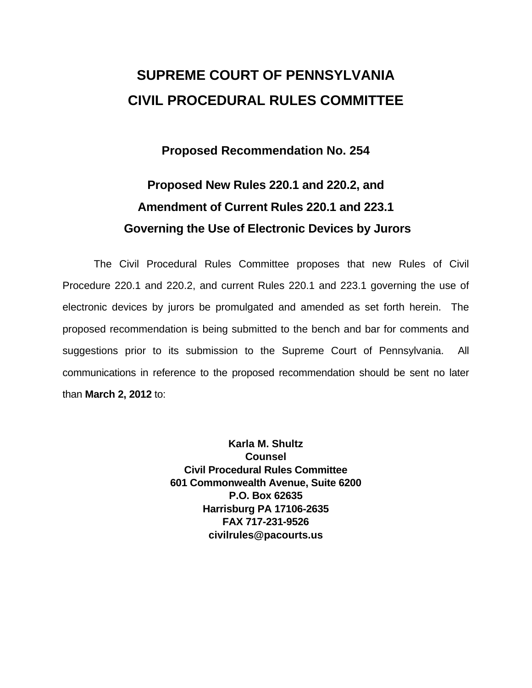# **SUPREME COURT OF PENNSYLVANIA CIVIL PROCEDURAL RULES COMMITTEE**

### **Proposed Recommendation No. 254**

## **Proposed New Rules 220.1 and 220.2, and Amendment of Current Rules 220.1 and 223.1 Governing the Use of Electronic Devices by Jurors**

 The Civil Procedural Rules Committee proposes that new Rules of Civil Procedure 220.1 and 220.2, and current Rules 220.1 and 223.1 governing the use of electronic devices by jurors be promulgated and amended as set forth herein. The proposed recommendation is being submitted to the bench and bar for comments and suggestions prior to its submission to the Supreme Court of Pennsylvania. All communications in reference to the proposed recommendation should be sent no later than **March 2, 2012** to:

> **Karla M. Shultz Counsel Civil Procedural Rules Committee 601 Commonwealth Avenue, Suite 6200 P.O. Box 62635 Harrisburg PA 17106-2635 FAX 717-231-9526 civilrules@pacourts.us**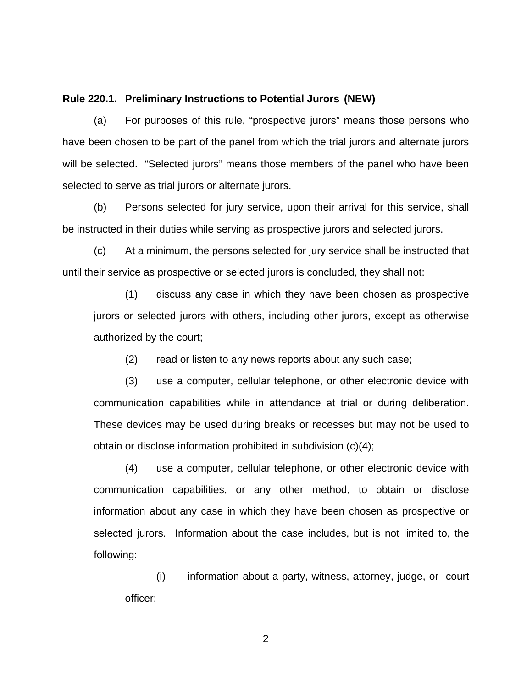#### **Rule 220.1. Preliminary Instructions to Potential Jurors (NEW)**

 (a) For purposes of this rule, "prospective jurors" means those persons who have been chosen to be part of the panel from which the trial jurors and alternate jurors will be selected. "Selected jurors" means those members of the panel who have been selected to serve as trial jurors or alternate jurors.

 (b) Persons selected for jury service, upon their arrival for this service, shall be instructed in their duties while serving as prospective jurors and selected jurors.

 (c) At a minimum, the persons selected for jury service shall be instructed that until their service as prospective or selected jurors is concluded, they shall not:

(1) discuss any case in which they have been chosen as prospective jurors or selected jurors with others, including other jurors, except as otherwise authorized by the court;

(2) read or listen to any news reports about any such case;

 (3) use a computer, cellular telephone, or other electronic device with communication capabilities while in attendance at trial or during deliberation. These devices may be used during breaks or recesses but may not be used to obtain or disclose information prohibited in subdivision (c)(4);

(4) use a computer, cellular telephone, or other electronic device with communication capabilities, or any other method, to obtain or disclose information about any case in which they have been chosen as prospective or selected jurors. Information about the case includes, but is not limited to, the following:

(i) information about a party, witness, attorney, judge, or court officer;

2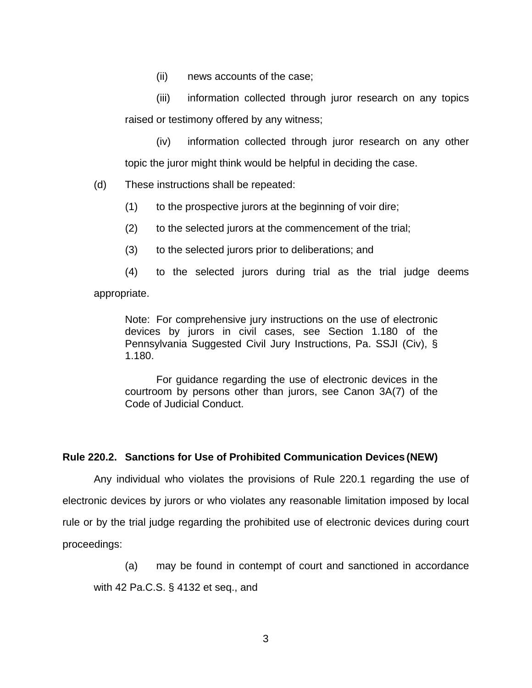(ii) news accounts of the case;

 (iii) information collected through juror research on any topics raised or testimony offered by any witness;

(iv) information collected through juror research on any other topic the juror might think would be helpful in deciding the case.

(d) These instructions shall be repeated:

(1) to the prospective jurors at the beginning of voir dire;

- (2) to the selected jurors at the commencement of the trial;
- (3) to the selected jurors prior to deliberations; and

 (4) to the selected jurors during trial as the trial judge deems appropriate.

Note: For comprehensive jury instructions on the use of electronic devices by jurors in civil cases, see Section 1.180 of the Pennsylvania Suggested Civil Jury Instructions, Pa. SSJI (Civ), § 1.180.

For guidance regarding the use of electronic devices in the courtroom by persons other than jurors, see Canon 3A(7) of the Code of Judicial Conduct.

### **Rule 220.2. Sanctions for Use of Prohibited Communication Devices (NEW)**

 Any individual who violates the provisions of Rule 220.1 regarding the use of electronic devices by jurors or who violates any reasonable limitation imposed by local rule or by the trial judge regarding the prohibited use of electronic devices during court proceedings:

(a) may be found in contempt of court and sanctioned in accordance

with 42 Pa.C.S. § 4132 et seq., and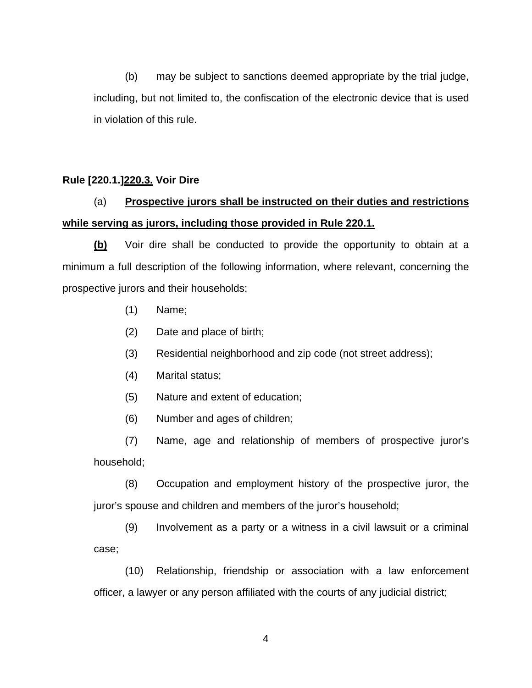(b) may be subject to sanctions deemed appropriate by the trial judge, including, but not limited to, the confiscation of the electronic device that is used in violation of this rule.

### **Rule [220.1.]220.3. Voir Dire**

### (a) **Prospective jurors shall be instructed on their duties and restrictions while serving as jurors, including those provided in Rule 220.1.**

 **(b)** Voir dire shall be conducted to provide the opportunity to obtain at a minimum a full description of the following information, where relevant, concerning the prospective jurors and their households:

- (1) Name;
- (2) Date and place of birth;
- (3) Residential neighborhood and zip code (not street address);
- (4) Marital status;
- (5) Nature and extent of education;
- (6) Number and ages of children;

 (7) Name, age and relationship of members of prospective juror's household;

(8) Occupation and employment history of the prospective juror, the juror's spouse and children and members of the juror's household;

(9) Involvement as a party or a witness in a civil lawsuit or a criminal case;

(10) Relationship, friendship or association with a law enforcement officer, a lawyer or any person affiliated with the courts of any judicial district;

4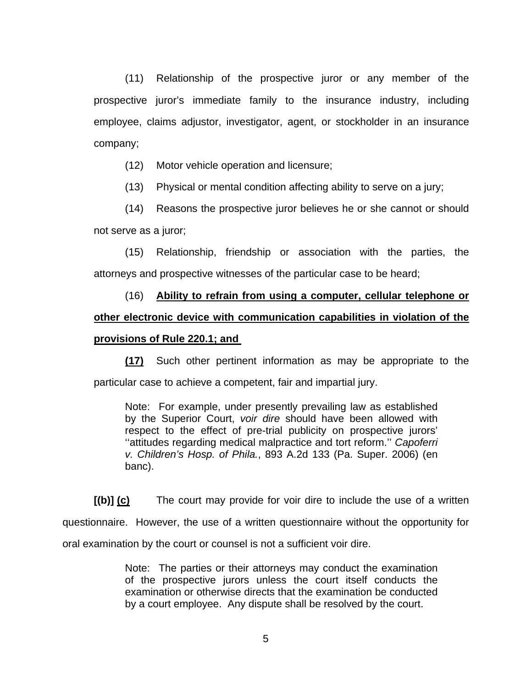(11) Relationship of the prospective juror or any member of the prospective juror's immediate family to the insurance industry, including employee, claims adjustor, investigator, agent, or stockholder in an insurance company;

(12) Motor vehicle operation and licensure;

(13) Physical or mental condition affecting ability to serve on a jury;

 (14) Reasons the prospective juror believes he or she cannot or should not serve as a juror;

(15) Relationship, friendship or association with the parties, the attorneys and prospective witnesses of the particular case to be heard;

# (16) **Ability to refrain from using a computer, cellular telephone or other electronic device with communication capabilities in violation of the**

### **provisions of Rule 220.1; and**

**(17)** Such other pertinent information as may be appropriate to the particular case to achieve a competent, fair and impartial jury.

Note: For example, under presently prevailing law as established by the Superior Court, *voir dire* should have been allowed with respect to the effect of pre-trial publicity on prospective jurors' ''attitudes regarding medical malpractice and tort reform.'' *Capoferri v. Children's Hosp. of Phila.*, 893 A.2d 133 (Pa. Super. 2006) (en banc).

 **[(b)] (c)** The court may provide for voir dire to include the use of a written questionnaire. However, the use of a written questionnaire without the opportunity for oral examination by the court or counsel is not a sufficient voir dire.

> Note: The parties or their attorneys may conduct the examination of the prospective jurors unless the court itself conducts the examination or otherwise directs that the examination be conducted by a court employee. Any dispute shall be resolved by the court.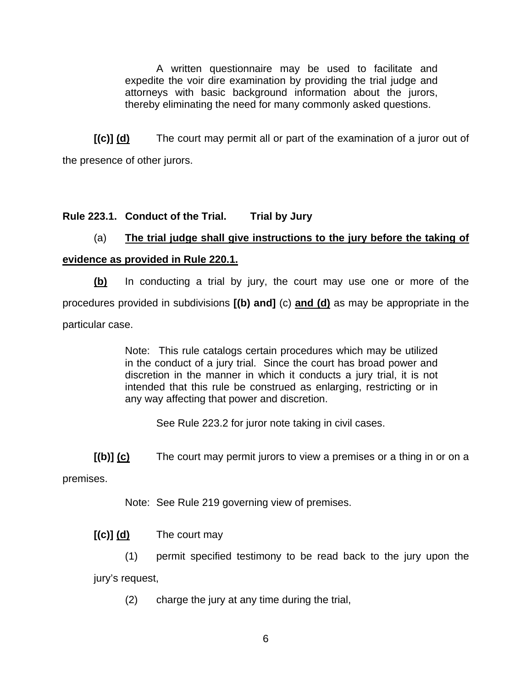A written questionnaire may be used to facilitate and expedite the voir dire examination by providing the trial judge and attorneys with basic background information about the jurors, thereby eliminating the need for many commonly asked questions.

 **[(c)] (d)** The court may permit all or part of the examination of a juror out of the presence of other jurors.

### **Rule 223.1. Conduct of the Trial. Trial by Jury**

### (a) **The trial judge shall give instructions to the jury before the taking of**

### **evidence as provided in Rule 220.1.**

 **(b)** In conducting a trial by jury, the court may use one or more of the procedures provided in subdivisions **[(b) and]** (c) **and (d)** as may be appropriate in the particular case.

> Note: This rule catalogs certain procedures which may be utilized in the conduct of a jury trial. Since the court has broad power and discretion in the manner in which it conducts a jury trial, it is not intended that this rule be construed as enlarging, restricting or in any way affecting that power and discretion.

See Rule 223.2 for juror note taking in civil cases.

**[(b)] (c)** The court may permit jurors to view a premises or a thing in or on a

premises.

Note: See Rule 219 governing view of premises.

**[(c)] (d)** The court may

(1) permit specified testimony to be read back to the jury upon the jury's request,

(2) charge the jury at any time during the trial,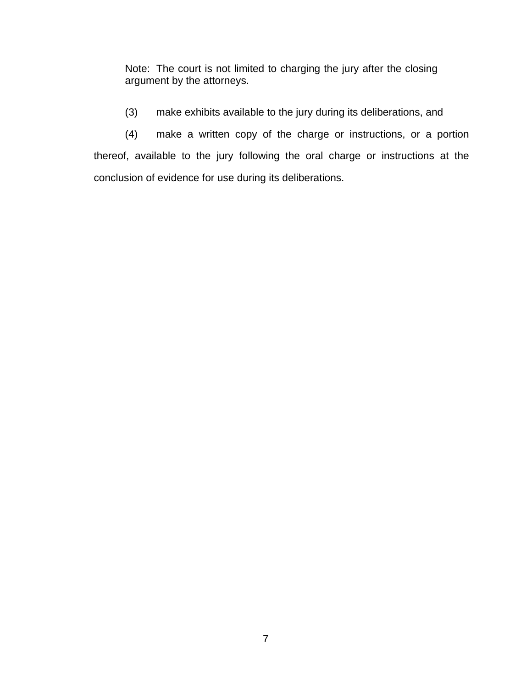Note: The court is not limited to charging the jury after the closing argument by the attorneys.

(3) make exhibits available to the jury during its deliberations, and

 (4) make a written copy of the charge or instructions, or a portion thereof, available to the jury following the oral charge or instructions at the conclusion of evidence for use during its deliberations.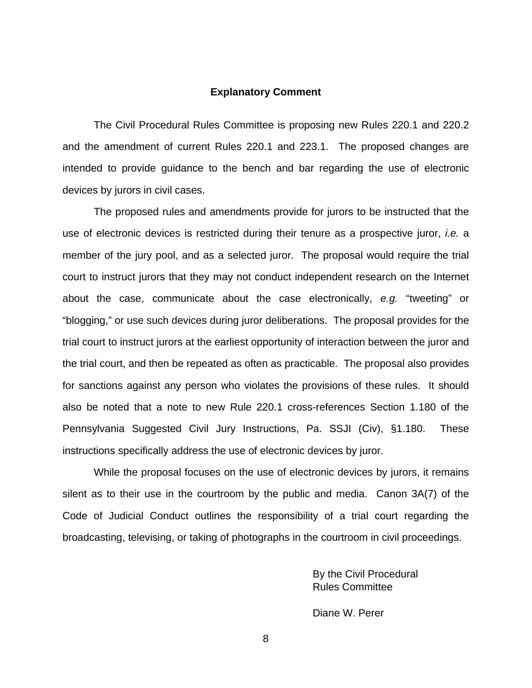### **Explanatory Comment**

 The Civil Procedural Rules Committee is proposing new Rules 220.1 and 220.2 and the amendment of current Rules 220.1 and 223.1. The proposed changes are intended to provide guidance to the bench and bar regarding the use of electronic devices by jurors in civil cases.

 The proposed rules and amendments provide for jurors to be instructed that the use of electronic devices is restricted during their tenure as a prospective juror, *i.e.* a member of the jury pool, and as a selected juror. The proposal would require the trial court to instruct jurors that they may not conduct independent research on the Internet about the case, communicate about the case electronically, *e.g.* "tweeting" or "blogging," or use such devices during juror deliberations. The proposal provides for the trial court to instruct jurors at the earliest opportunity of interaction between the juror and the trial court, and then be repeated as often as practicable. The proposal also provides for sanctions against any person who violates the provisions of these rules. It should also be noted that a note to new Rule 220.1 cross-references Section 1.180 of the Pennsylvania Suggested Civil Jury Instructions, Pa. SSJI (Civ), §1.180. These instructions specifically address the use of electronic devices by juror.

 While the proposal focuses on the use of electronic devices by jurors, it remains silent as to their use in the courtroom by the public and media. Canon 3A(7) of the Code of Judicial Conduct outlines the responsibility of a trial court regarding the broadcasting, televising, or taking of photographs in the courtroom in civil proceedings.

> By the Civil Procedural Rules Committee

Diane W. Perer

8